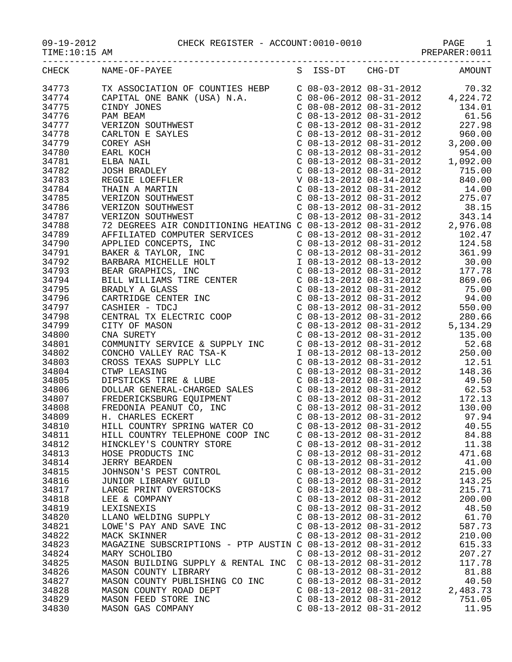09-19-2012 CHECK REGISTER - ACCOUNT:0010-0010 PAGE 1

TIME:10:15 AM PREPARER:0011

| CHECK | NAME-OF-PAYEE                                                                                                                                                                                                                                            |                           | S ISS-DT CHG-DT AMOUNT |          |
|-------|----------------------------------------------------------------------------------------------------------------------------------------------------------------------------------------------------------------------------------------------------------|---------------------------|------------------------|----------|
| 34773 | TX ASSOCIATION OF COUNTIES HEBP<br>C 08-03-2012 08-31-2012 70.32<br>CAPITAL ONE BANK (USA) N.A.<br>C 08-06-2012 08-31-2012 4,224.72<br>C 08-08-2012 08-31-2012 134.01<br>PAM BEAM<br>C 08-13-2012 08-31-2012 61.56<br>VERIZON SOUTHWEST<br>              |                           |                        |          |
|       | TX ASSOCIATION OF COUNTIES HEBP<br>CAPITAL ONE BANK (USA) N.A.<br>CINDY JONES<br>PAM BEAM<br>VERIZON SOUTHWEST<br>CARLTON E SAYLES<br>COREY ASH<br>EARL KOCH<br>ELBA NAIL<br>JOSH BRADLEY<br>REGGIE LOEFFLER<br>THAIN A MARTIN<br>VERIZON SOUTHWEST<br>V |                           |                        |          |
| 34774 |                                                                                                                                                                                                                                                          |                           |                        |          |
| 34775 |                                                                                                                                                                                                                                                          |                           |                        |          |
| 34776 |                                                                                                                                                                                                                                                          |                           |                        |          |
| 34777 |                                                                                                                                                                                                                                                          |                           |                        |          |
| 34778 |                                                                                                                                                                                                                                                          |                           |                        |          |
| 34779 |                                                                                                                                                                                                                                                          |                           |                        |          |
| 34780 |                                                                                                                                                                                                                                                          |                           |                        |          |
| 34781 |                                                                                                                                                                                                                                                          |                           |                        |          |
| 34782 |                                                                                                                                                                                                                                                          |                           |                        |          |
| 34783 |                                                                                                                                                                                                                                                          |                           |                        |          |
| 34784 |                                                                                                                                                                                                                                                          |                           |                        |          |
| 34785 |                                                                                                                                                                                                                                                          |                           |                        |          |
|       |                                                                                                                                                                                                                                                          |                           |                        |          |
| 34786 |                                                                                                                                                                                                                                                          |                           |                        |          |
| 34787 |                                                                                                                                                                                                                                                          |                           |                        |          |
| 34788 |                                                                                                                                                                                                                                                          |                           |                        |          |
| 34789 |                                                                                                                                                                                                                                                          |                           |                        |          |
| 34790 |                                                                                                                                                                                                                                                          |                           |                        |          |
| 34791 |                                                                                                                                                                                                                                                          |                           |                        |          |
| 34792 |                                                                                                                                                                                                                                                          |                           |                        |          |
| 34793 |                                                                                                                                                                                                                                                          |                           |                        |          |
| 34794 |                                                                                                                                                                                                                                                          |                           |                        |          |
| 34795 |                                                                                                                                                                                                                                                          |                           |                        |          |
| 34796 |                                                                                                                                                                                                                                                          |                           |                        |          |
|       |                                                                                                                                                                                                                                                          |                           |                        |          |
| 34797 |                                                                                                                                                                                                                                                          |                           |                        |          |
| 34798 |                                                                                                                                                                                                                                                          |                           |                        |          |
| 34799 |                                                                                                                                                                                                                                                          |                           |                        |          |
| 34800 |                                                                                                                                                                                                                                                          |                           |                        |          |
| 34801 |                                                                                                                                                                                                                                                          |                           |                        |          |
| 34802 |                                                                                                                                                                                                                                                          |                           |                        |          |
| 34803 |                                                                                                                                                                                                                                                          |                           |                        |          |
| 34804 |                                                                                                                                                                                                                                                          |                           |                        |          |
| 34805 |                                                                                                                                                                                                                                                          |                           |                        |          |
| 34806 |                                                                                                                                                                                                                                                          |                           |                        |          |
| 34807 |                                                                                                                                                                                                                                                          |                           |                        |          |
| 34808 |                                                                                                                                                                                                                                                          |                           |                        |          |
| 34809 |                                                                                                                                                                                                                                                          |                           |                        |          |
| 34810 |                                                                                                                                                                                                                                                          |                           |                        |          |
|       |                                                                                                                                                                                                                                                          |                           |                        |          |
| 34811 | HILL COUNTRY TELEPHONE COOP INC                                                                                                                                                                                                                          | $C$ 08-13-2012 08-31-2012 |                        | 84.88    |
| 34812 | HINCKLEY'S COUNTRY STORE                                                                                                                                                                                                                                 | $C$ 08-13-2012 08-31-2012 |                        | 11.38    |
| 34813 | HOSE PRODUCTS INC                                                                                                                                                                                                                                        | $C$ 08-13-2012 08-31-2012 |                        | 471.68   |
| 34814 | <b>JERRY BEARDEN</b>                                                                                                                                                                                                                                     | $C$ 08-13-2012 08-31-2012 |                        | 41.00    |
| 34815 | JOHNSON'S PEST CONTROL                                                                                                                                                                                                                                   | $C$ 08-13-2012 08-31-2012 |                        | 215.00   |
| 34816 | JUNIOR LIBRARY GUILD                                                                                                                                                                                                                                     | $C$ 08-13-2012 08-31-2012 |                        | 143.25   |
| 34817 | LARGE PRINT OVERSTOCKS                                                                                                                                                                                                                                   | $C$ 08-13-2012 08-31-2012 |                        | 215.71   |
| 34818 | LEE & COMPANY                                                                                                                                                                                                                                            | $C$ 08-13-2012 08-31-2012 |                        | 200.00   |
| 34819 | LEXISNEXIS                                                                                                                                                                                                                                               | $C$ 08-13-2012 08-31-2012 |                        | 48.50    |
| 34820 | LLANO WELDING SUPPLY                                                                                                                                                                                                                                     | $C$ 08-13-2012 08-31-2012 |                        | 61.70    |
| 34821 | LOWE'S PAY AND SAVE INC                                                                                                                                                                                                                                  | $C$ 08-13-2012 08-31-2012 |                        | 587.73   |
| 34822 | MACK SKINNER                                                                                                                                                                                                                                             | $C$ 08-13-2012 08-31-2012 |                        | 210.00   |
| 34823 | MAGAZINE SUBSCRIPTIONS - PTP AUSTIN C 08-13-2012 08-31-2012                                                                                                                                                                                              |                           |                        | 615.33   |
|       |                                                                                                                                                                                                                                                          |                           |                        |          |
| 34824 | MARY SCHOLIBO                                                                                                                                                                                                                                            | $C$ 08-13-2012 08-31-2012 |                        | 207.27   |
| 34825 | MASON BUILDING SUPPLY & RENTAL INC                                                                                                                                                                                                                       | $C$ 08-13-2012 08-31-2012 |                        | 117.78   |
| 34826 | MASON COUNTY LIBRARY                                                                                                                                                                                                                                     | $C$ 08-13-2012 08-31-2012 |                        | 81.88    |
| 34827 | MASON COUNTY PUBLISHING CO INC                                                                                                                                                                                                                           | $C$ 08-13-2012 08-31-2012 |                        | 40.50    |
| 34828 | MASON COUNTY ROAD DEPT                                                                                                                                                                                                                                   | $C$ 08-13-2012 08-31-2012 |                        | 2,483.73 |
| 34829 | MASON FEED STORE INC                                                                                                                                                                                                                                     | $C$ 08-13-2012 08-31-2012 |                        | 751.05   |
| 34830 | MASON GAS COMPANY                                                                                                                                                                                                                                        | $C$ 08-13-2012 08-31-2012 |                        | 11.95    |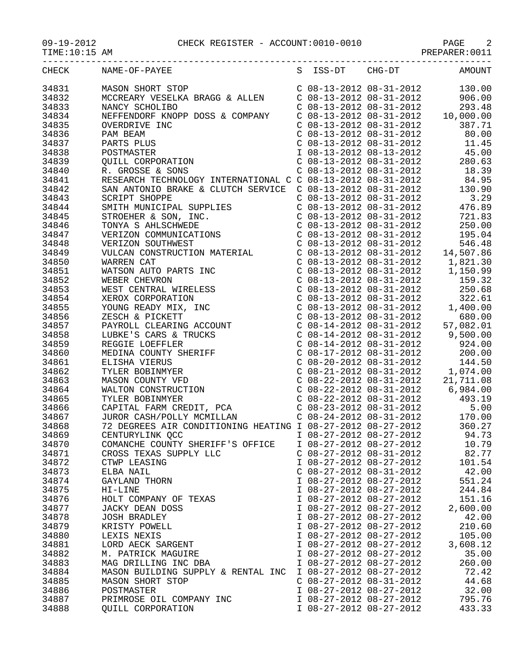PREPARER:0011

|                | S ISS-DT CHG-DT AMOUNT<br>CHECK NAME-OF-PAYEE                      |                           |                         |          |
|----------------|--------------------------------------------------------------------|---------------------------|-------------------------|----------|
| 34831          |                                                                    |                           |                         |          |
| 34832          |                                                                    |                           |                         |          |
|                |                                                                    |                           |                         |          |
| 34833          |                                                                    |                           |                         |          |
| 34834          |                                                                    |                           |                         |          |
| 34835          |                                                                    |                           |                         |          |
| 34836          |                                                                    |                           |                         |          |
| 34837          |                                                                    |                           |                         |          |
| 34838          |                                                                    |                           |                         |          |
| 34839          |                                                                    |                           |                         |          |
| 34840          |                                                                    |                           |                         |          |
| 34841          |                                                                    |                           |                         |          |
| 34842          |                                                                    |                           |                         |          |
| 34843          |                                                                    |                           |                         |          |
| 34844          |                                                                    |                           |                         |          |
| 34845          |                                                                    |                           |                         |          |
| 34846          |                                                                    |                           |                         |          |
|                |                                                                    |                           |                         |          |
| 34847          |                                                                    |                           |                         |          |
| 34848          |                                                                    |                           |                         |          |
| 34849          |                                                                    |                           |                         |          |
| 34850          |                                                                    |                           |                         |          |
| 34851          |                                                                    |                           |                         |          |
| 34852          |                                                                    |                           |                         |          |
| 34853          |                                                                    |                           |                         |          |
| 34854          |                                                                    |                           |                         |          |
| 34855          |                                                                    |                           |                         |          |
| 34856          |                                                                    |                           |                         |          |
| 34857          |                                                                    |                           |                         |          |
| 34858          |                                                                    |                           |                         |          |
| 34859          |                                                                    |                           |                         |          |
| 34860          |                                                                    |                           |                         |          |
| 34861          |                                                                    |                           |                         |          |
| 34862          |                                                                    |                           |                         |          |
| 34863          |                                                                    |                           |                         |          |
|                |                                                                    |                           |                         |          |
| 34864          |                                                                    |                           |                         |          |
| 34865<br>34866 |                                                                    |                           |                         |          |
|                |                                                                    |                           |                         |          |
| 34867          |                                                                    |                           |                         |          |
| 34868          | 72 DEGREES AIR CONDITIONING HEATING I 08-27-2012 08-27-2012 360.27 |                           |                         |          |
| 34869          | CENTURYLINK OCC                                                    |                           | I 08-27-2012 08-27-2012 | 94.73    |
| 34870          | COMANCHE COUNTY SHERIFF'S OFFICE                                   | I 08-27-2012 08-27-2012   |                         | 10.79    |
| 34871          | CROSS TEXAS SUPPLY LLC                                             | $C$ 08-27-2012 08-31-2012 |                         | 82.77    |
| 34872          | CTWP LEASING                                                       | I 08-27-2012 08-27-2012   |                         | 101.54   |
| 34873          | ELBA NAIL                                                          | $C$ 08-27-2012 08-31-2012 |                         | 42.00    |
| 34874          | GAYLAND THORN                                                      | I 08-27-2012 08-27-2012   |                         | 551.24   |
| 34875          | HI-LINE                                                            | I 08-27-2012 08-27-2012   |                         | 244.84   |
| 34876          | HOLT COMPANY OF TEXAS                                              | I 08-27-2012 08-27-2012   |                         | 151.16   |
| 34877          | JACKY DEAN DOSS                                                    | I 08-27-2012 08-27-2012   |                         | 2,600.00 |
| 34878          | <b>JOSH BRADLEY</b>                                                | I 08-27-2012 08-27-2012   |                         | 42.00    |
| 34879          | KRISTY POWELL                                                      | I 08-27-2012 08-27-2012   |                         | 210.60   |
| 34880          | LEXIS NEXIS                                                        | I 08-27-2012 08-27-2012   |                         | 105.00   |
| 34881          | LORD AECK SARGENT                                                  | I 08-27-2012 08-27-2012   |                         | 3,608.12 |
|                | M. PATRICK MAGUIRE                                                 | I 08-27-2012 08-27-2012   |                         | 35.00    |
| 34882          |                                                                    |                           |                         |          |
| 34883          | MAG DRILLING INC DBA                                               | I 08-27-2012 08-27-2012   |                         | 260.00   |
| 34884          | MASON BUILDING SUPPLY & RENTAL INC                                 | I 08-27-2012 08-27-2012   |                         | 72.42    |
| 34885          | <b>MASON SHORT STOP</b>                                            | $C$ 08-27-2012 08-31-2012 |                         | 44.68    |
| 34886          | POSTMASTER                                                         | I 08-27-2012 08-27-2012   |                         | 32.00    |
| 34887          | PRIMROSE OIL COMPANY INC                                           | I 08-27-2012 08-27-2012   |                         | 795.76   |
| 34888          | QUILL CORPORATION                                                  | I 08-27-2012 08-27-2012   |                         | 433.33   |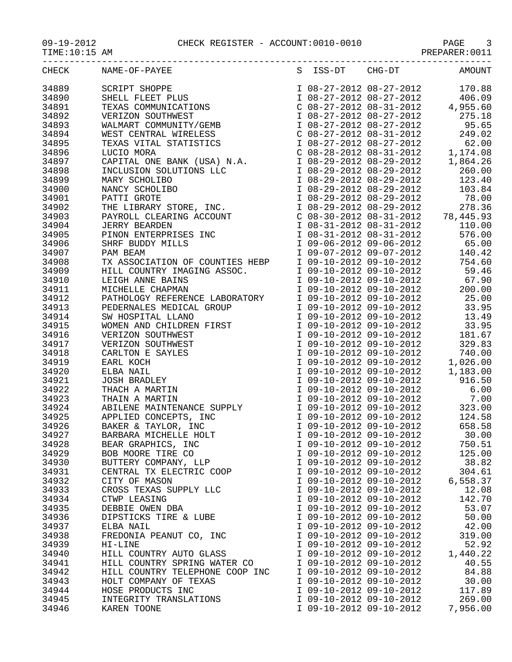| CHECK | NAME-OF-PAYEE                   |                         | S ISS-DT CHG-DT AMOUNT                                           |
|-------|---------------------------------|-------------------------|------------------------------------------------------------------|
|       | 34889 SCRIPT SHOPPE             |                         |                                                                  |
| 34890 |                                 |                         |                                                                  |
| 34891 |                                 |                         |                                                                  |
| 34892 |                                 |                         |                                                                  |
| 34893 |                                 |                         |                                                                  |
| 34894 |                                 |                         |                                                                  |
| 34895 |                                 |                         |                                                                  |
| 34896 |                                 |                         |                                                                  |
| 34897 |                                 |                         |                                                                  |
| 34898 |                                 |                         |                                                                  |
| 34899 |                                 |                         |                                                                  |
| 34900 |                                 |                         |                                                                  |
| 34901 |                                 |                         |                                                                  |
| 34902 |                                 |                         |                                                                  |
| 34903 |                                 |                         |                                                                  |
| 34904 |                                 |                         |                                                                  |
| 34905 |                                 |                         |                                                                  |
| 34906 |                                 |                         |                                                                  |
| 34907 |                                 |                         |                                                                  |
| 34908 |                                 |                         |                                                                  |
|       |                                 |                         |                                                                  |
| 34909 |                                 |                         |                                                                  |
| 34910 |                                 |                         |                                                                  |
| 34911 |                                 |                         |                                                                  |
| 34912 |                                 |                         |                                                                  |
| 34913 |                                 |                         |                                                                  |
| 34914 |                                 |                         |                                                                  |
| 34915 |                                 |                         |                                                                  |
| 34916 |                                 |                         |                                                                  |
| 34917 |                                 |                         |                                                                  |
| 34918 |                                 |                         |                                                                  |
| 34919 |                                 |                         |                                                                  |
| 34920 |                                 |                         |                                                                  |
| 34921 |                                 |                         |                                                                  |
| 34922 |                                 |                         |                                                                  |
| 34923 |                                 |                         |                                                                  |
| 34924 |                                 |                         |                                                                  |
| 34925 |                                 |                         | 1 09-10-2012 09-10-2012 124.58<br>1 09-10-2012 09-10-2012 658.58 |
| 34926 |                                 |                         |                                                                  |
| 34927 | BARBARA MICHELLE HOLT           | I 09-10-2012 09-10-2012 | 30.00                                                            |
| 34928 | BEAR GRAPHICS, INC              | I 09-10-2012 09-10-2012 | 750.51                                                           |
| 34929 | BOB MOORE TIRE CO               | I 09-10-2012 09-10-2012 | 125.00                                                           |
| 34930 | BUTTERY COMPANY, LLP            | I 09-10-2012 09-10-2012 | 38.82                                                            |
| 34931 | CENTRAL TX ELECTRIC COOP        | I 09-10-2012 09-10-2012 | 304.61                                                           |
| 34932 | CITY OF MASON                   | I 09-10-2012 09-10-2012 | 6,558.37                                                         |
| 34933 | CROSS TEXAS SUPPLY LLC          | I 09-10-2012 09-10-2012 | 12.08                                                            |
| 34934 | CTWP LEASING                    | I 09-10-2012 09-10-2012 | 142.70                                                           |
| 34935 | DEBBIE OWEN DBA                 | I 09-10-2012 09-10-2012 | 53.07                                                            |
| 34936 | DIPSTICKS TIRE & LUBE           | I 09-10-2012 09-10-2012 | 50.00                                                            |
| 34937 | ELBA NAIL                       | I 09-10-2012 09-10-2012 | 42.00                                                            |
| 34938 | FREDONIA PEANUT CO, INC         | I 09-10-2012 09-10-2012 | 319.00                                                           |
| 34939 | HI-LINE                         | I 09-10-2012 09-10-2012 | 52.92                                                            |
| 34940 | HILL COUNTRY AUTO GLASS         | I 09-10-2012 09-10-2012 | 1,440.22                                                         |
| 34941 | HILL COUNTRY SPRING WATER CO    | I 09-10-2012 09-10-2012 | 40.55                                                            |
| 34942 | HILL COUNTRY TELEPHONE COOP INC | I 09-10-2012 09-10-2012 | 84.88                                                            |
| 34943 | HOLT COMPANY OF TEXAS           | I 09-10-2012 09-10-2012 | 30.00                                                            |
| 34944 | HOSE PRODUCTS INC               | I 09-10-2012 09-10-2012 | 117.89                                                           |
| 34945 | INTEGRITY TRANSLATIONS          | I 09-10-2012 09-10-2012 | 269.00                                                           |

34946 KAREN TOONE I 09-10-2012 09-10-2012 7,956.00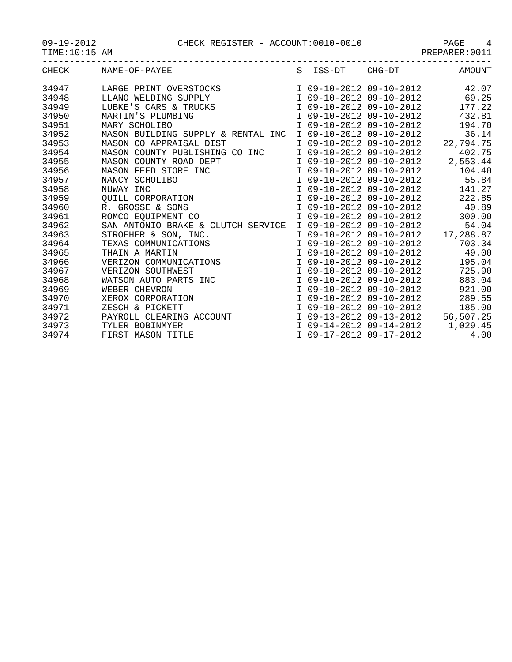09-19-2012<br>TIME:10:15 AM

| CHECK | NAME-OF-PAYEE                      | S ISS-DT | CHG-DT                    | AMOUNT    |
|-------|------------------------------------|----------|---------------------------|-----------|
| 34947 | LARGE PRINT OVERSTOCKS             |          | I 09-10-2012 09-10-2012   | 42.07     |
| 34948 | LLANO WELDING SUPPLY               |          | I 09-10-2012 09-10-2012   | 69.25     |
| 34949 | LUBKE'S CARS & TRUCKS              |          | I 09-10-2012 09-10-2012   | 177.22    |
| 34950 | MARTIN'S PLUMBING                  |          | I 09-10-2012 09-10-2012   | 432.81    |
| 34951 | MARY SCHOLIBO                      |          | I 09-10-2012 09-10-2012   | 194.70    |
| 34952 | MASON BUILDING SUPPLY & RENTAL INC |          | I 09-10-2012 09-10-2012   | 36.14     |
| 34953 | MASON CO APPRAISAL DIST            |          | I 09-10-2012 09-10-2012   | 22,794.75 |
| 34954 | MASON COUNTY PUBLISHING CO INC     |          | I 09-10-2012 09-10-2012   | 402.75    |
| 34955 | MASON COUNTY ROAD DEPT             |          | I 09-10-2012 09-10-2012   | 2,553.44  |
| 34956 | MASON FEED STORE INC               |          | I 09-10-2012 09-10-2012   | 104.40    |
| 34957 | NANCY SCHOLIBO                     |          | I 09-10-2012 09-10-2012   | 55.84     |
| 34958 | NUWAY INC                          |          | I 09-10-2012 09-10-2012   | 141.27    |
| 34959 | OUILL CORPORATION                  |          | I 09-10-2012 09-10-2012   | 222.85    |
| 34960 | R. GROSSE & SONS                   |          | I 09-10-2012 09-10-2012   | 40.89     |
| 34961 | ROMCO EQUIPMENT CO                 |          | I 09-10-2012 09-10-2012   | 300.00    |
| 34962 | SAN ANTONIO BRAKE & CLUTCH SERVICE |          | I 09-10-2012 09-10-2012   | 54.04     |
| 34963 | STROEHER & SON, INC.               |          | I 09-10-2012 09-10-2012   | 17,288.87 |
| 34964 | TEXAS COMMUNICATIONS               |          | I 09-10-2012 09-10-2012   | 703.34    |
| 34965 | THAIN A MARTIN                     |          | I 09-10-2012 09-10-2012   | 49.00     |
| 34966 | VERIZON COMMUNICATIONS             |          | I 09-10-2012 09-10-2012   | 195.04    |
| 34967 | VERIZON SOUTHWEST                  |          | I 09-10-2012 09-10-2012   | 725.90    |
| 21060 | WATCON AITO DADTC TNO              |          | $T$ 09-10-2012 09-10-2012 | 002M      |

| 34961 | ROMCO EQUIPMENT CO                 | I 09-10-2012 09-10-2012 | 300.00    |
|-------|------------------------------------|-------------------------|-----------|
| 34962 | SAN ANTONIO BRAKE & CLUTCH SERVICE | I 09-10-2012 09-10-2012 | 54.04     |
| 34963 | STROEHER & SON, INC.               | I 09-10-2012 09-10-2012 | 17,288.87 |
| 34964 | TEXAS COMMUNICATIONS               | I 09-10-2012 09-10-2012 | 703.34    |
| 34965 | THAIN A MARTIN                     | I 09-10-2012 09-10-2012 | 49.00     |
| 34966 | VERIZON COMMUNICATIONS             | I 09-10-2012 09-10-2012 | 195.04    |
| 34967 | VERIZON SOUTHWEST                  | I 09-10-2012 09-10-2012 | 725.90    |
| 34968 | WATSON AUTO PARTS INC              | I 09-10-2012 09-10-2012 | 883.04    |
| 34969 | WEBER CHEVRON                      | I 09-10-2012 09-10-2012 | 921.00    |
| 34970 | XEROX CORPORATION                  | I 09-10-2012 09-10-2012 | 289.55    |
| 34971 | ZESCH & PICKETT                    | I 09-10-2012 09-10-2012 | 185.00    |
| 34972 | PAYROLL CLEARING ACCOUNT           | I 09-13-2012 09-13-2012 | 56,507.25 |
| 34973 | TYLER BOBINMYER                    | I 09-14-2012 09-14-2012 | 1,029.45  |
|       |                                    |                         |           |

34974 FIRST MASON TITLE  $109-17-2012$  09-17-2012 4.00